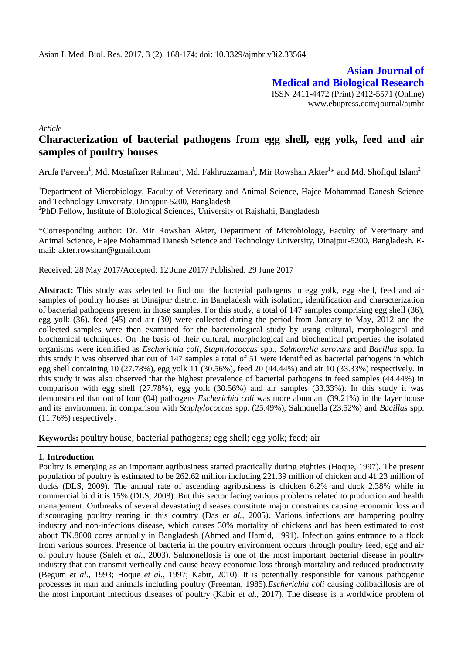**Asian Journal of Medical and Biological Research** ISSN 2411-4472 (Print) 2412-5571 (Online) www.ebupress.com/journal/ajmbr

*Article*

# **Characterization of bacterial pathogens from egg shell, egg yolk, feed and air samples of poultry houses**

Arufa Parveen<sup>1</sup>, Md. Mostafizer Rahman<sup>1</sup>, Md. Fakhruzzaman<sup>1</sup>, Mir Rowshan Akter<sup>1\*</sup> and Md. Shofiqul Islam<sup>2</sup>

<sup>1</sup>Department of Microbiology, Faculty of Veterinary and Animal Science, Hajee Mohammad Danesh Science and Technology University, Dinajpur-5200, Bangladesh

<sup>2</sup>PhD Fellow, Institute of Biological Sciences, University of Rajshahi, Bangladesh

\*Corresponding author: Dr. Mir Rowshan Akter, Department of Microbiology, Faculty of Veterinary and Animal Science, Hajee Mohammad Danesh Science and Technology University, Dinajpur-5200, Bangladesh. Email: akter.rowshan@gmail.com

Received: 28 May 2017/Accepted: 12 June 2017/ Published: 29 June 2017

**Abstract:** This study was selected to find out the bacterial pathogens in egg yolk, egg shell, feed and air samples of poultry houses at Dinajpur district in Bangladesh with isolation, identification and characterization of bacterial pathogens present in those samples. For this study, a total of 147 samples comprising egg shell (36), egg yolk (36), feed (45) and air (30) were collected during the period from January to May, 2012 and the collected samples were then examined for the bacteriological study by using cultural, morphological and biochemical techniques. On the basis of their cultural, morphological and biochemical properties the isolated organisms were identified as *Escherichia coli*, *Staphylococcus* spp*.*, *Salmonella serovars* and *Bacillus* spp. In this study it was observed that out of 147 samples a total of 51 were identified as bacterial pathogens in which egg shell containing 10 (27.78%), egg yolk 11 (30.56%), feed 20 (44.44%) and air 10 (33.33%) respectively. In this study it was also observed that the highest prevalence of bacterial pathogens in feed samples (44.44%) in comparison with egg shell (27.78%), egg yolk (30.56%) and air samples (33.33%). In this study it was demonstrated that out of four (04) pathogens *Escherichia coli* was more abundant (39.21%) in the layer house and its environment in comparison with *Staphylococcus* spp. (25.49%), Salmonella (23.52%) and *Bacillus* spp. (11.76%) respectively.

**Keywords:** poultry house; bacterial pathogens; egg shell; egg yolk; feed; air

### **1. Introduction**

Poultry is emerging as an important agribusiness started practically during eighties (Hoque, 1997). The present population of poultry is estimated to be 262.62 million including 221.39 million of chicken and 41.23 million of ducks (DLS, 2009). The annual rate of ascending agribusiness is chicken 6.2% and duck 2.38% while in commercial bird it is 15% (DLS, 2008). But this sector facing various problems related to production and health management. Outbreaks of several devastating diseases constitute major constraints causing economic loss and discouraging poultry rearing in this country (Das *et al.,* 2005). Various infections are hampering poultry industry and non-infectious disease, which causes 30% mortality of chickens and has been estimated to cost about TK.8000 cores annually in Bangladesh (Ahmed and Hamid, 1991). Infection gains entrance to a flock from various sources. Presence of bacteria in the poultry environment occurs through poultry feed, egg and air of poultry house (Saleh *et al.*, 2003). Salmonellosis is one of the most important bacterial disease in poultry industry that can transmit vertically and cause heavy economic loss through mortality and reduced productivity (Begum *et al.,* 1993; Hoque *et al.,* 1997; Kabir, 2010). It is potentially responsible for various pathogenic processes in man and animals including poultry (Freeman, 1985).*Escherichia coli* causing colibacillosis are of the most important infectious diseases of poultry (Kabir *et al*., 2017). The disease is a worldwide problem of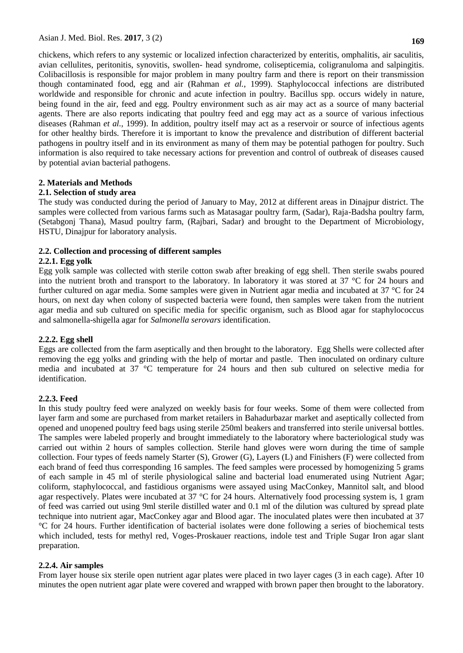chickens, which refers to any systemic or localized infection characterized by enteritis, omphalitis, air saculitis, avian cellulites, peritonitis, synovitis, swollen- head syndrome, colisepticemia, coligranuloma and salpingitis. Colibacillosis is responsible for major problem in many poultry farm and there is report on their transmission though contaminated food, egg and air (Rahman *et al.*, 1999). Staphylococcal infections are distributed worldwide and responsible for chronic and acute infection in poultry. Bacillus spp. occurs widely in nature, being found in the air, feed and egg. Poultry environment such as air may act as a source of many bacterial agents. There are also reports indicating that poultry feed and egg may act as a source of various infectious diseases (Rahman *et al.,* 1999). In addition, poultry itself may act as a reservoir or source of infectious agents for other healthy birds. Therefore it is important to know the prevalence and distribution of different bacterial pathogens in poultry itself and in its environment as many of them may be potential pathogen for poultry. Such information is also required to take necessary actions for prevention and control of outbreak of diseases caused by potential avian bacterial pathogens.

### **2. Materials and Methods**

### **2.1. Selection of study area**

The study was conducted during the period of January to May, 2012 at different areas in Dinajpur district. The samples were collected from various farms such as Matasagar poultry farm, (Sadar), Raja-Badsha poultry farm, (Setabgonj Thana), Masud poultry farm, (Rajbari, Sadar) and brought to the Department of Microbiology, HSTU, Dinajpur for laboratory analysis.

### **2.2. Collection and processing of different samples**

### **2.2.1. Egg yolk**

Egg yolk sample was collected with sterile cotton swab after breaking of egg shell. Then sterile swabs poured into the nutrient broth and transport to the laboratory. In laboratory it was stored at 37 °C for 24 hours and further cultured on agar media. Some samples were given in Nutrient agar media and incubated at 37 °C for 24 hours, on next day when colony of suspected bacteria were found, then samples were taken from the nutrient agar media and sub cultured on specific media for specific organism, such as Blood agar for staphylococcus and salmonella-shigella agar for *Salmonella serovars* identification.

### **2.2.2. Egg shell**

Eggs are collected from the farm aseptically and then brought to the laboratory. Egg Shells were collected after removing the egg yolks and grinding with the help of mortar and pastle. Then inoculated on ordinary culture media and incubated at 37 °C temperature for 24 hours and then sub cultured on selective media for identification.

### **2.2.3. Feed**

In this study poultry feed were analyzed on weekly basis for four weeks. Some of them were collected from layer farm and some are purchased from market retailers in Bahadurbazar market and aseptically collected from opened and unopened poultry feed bags using sterile 250ml beakers and transferred into sterile universal bottles. The samples were labeled properly and brought immediately to the laboratory where bacteriological study was carried out within 2 hours of samples collection. Sterile hand gloves were worn during the time of sample collection. Four types of feeds namely Starter (S), Grower (G), Layers (L) and Finishers (F) were collected from each brand of feed thus corresponding 16 samples. The feed samples were processed by homogenizing 5 grams of each sample in 45 ml of sterile physiological saline and bacterial load enumerated using Nutrient Agar; coliform, staphylococcal, and fastidious organisms were assayed using MacConkey, Mannitol salt, and blood agar respectively. Plates were incubated at 37 °C for 24 hours. Alternatively food processing system is, 1 gram of feed was carried out using 9ml sterile distilled water and 0.1 ml of the dilution was cultured by spread plate technique into nutrient agar, MacConkey agar and Blood agar. The inoculated plates were then incubated at 37 °C for 24 hours. Further identification of bacterial isolates were done following a series of biochemical tests which included, tests for methyl red, Voges-Proskauer reactions, indole test and Triple Sugar Iron agar slant preparation.

### **2.2.4. Air samples**

From layer house six sterile open nutrient agar plates were placed in two layer cages (3 in each cage). After 10 minutes the open nutrient agar plate were covered and wrapped with brown paper then brought to the laboratory.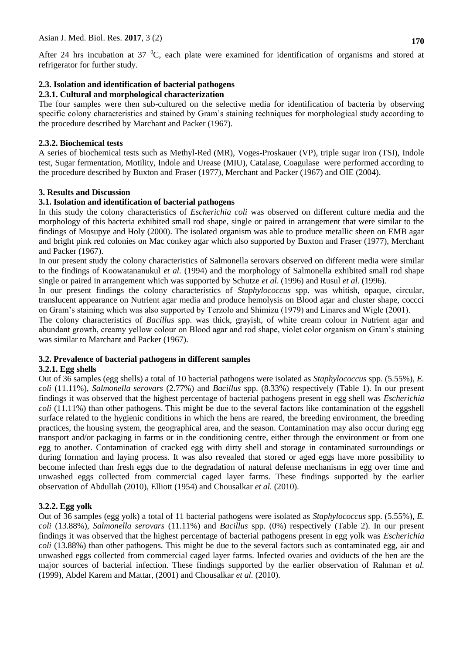After 24 hrs incubation at 37  $^{\circ}$ C, each plate were examined for identification of organisms and stored at refrigerator for further study.

# **2.3. Isolation and identification of bacterial pathogens**

### **2.3.1. Cultural and morphological characterization**

The four samples were then sub-cultured on the selective media for identification of bacteria by observing specific colony characteristics and stained by Gram's staining techniques for morphological study according to the procedure described by Marchant and Packer (1967).

# **2.3.2. Biochemical tests**

A series of biochemical tests such as Methyl-Red (MR), Voges-Proskauer (VP), triple sugar iron (TSI), Indole test, Sugar fermentation, Motility, Indole and Urease (MIU), Catalase, Coagulase were performed according to the procedure described by Buxton and Fraser (1977), Merchant and Packer (1967) and OIE (2004).

# **3. Results and Discussion**

### **3.1. Isolation and identification of bacterial pathogens**

In this study the colony characteristics of *Escherichia coli* was observed on different culture media and the morphology of this bacteria exhibited small rod shape, single or paired in arrangement that were similar to the findings of Mosupye and Holy (2000). The isolated organism was able to produce metallic sheen on EMB agar and bright pink red colonies on Mac conkey agar which also supported by Buxton and Fraser (1977), Merchant and Packer (1967).

In our present study the colony characteristics of Salmonella serovars observed on different media were similar to the findings of Koowatananukul *et al.* (1994) and the morphology of Salmonella exhibited small rod shape single or paired in arrangement which was supported by Schutze *et al*. (1996) and Rusul *et al.* (1996).

In our present findings the colony characteristics of *Staphylococcus* spp. was whitish, opaque, circular, translucent appearance on Nutrient agar media and produce hemolysis on Blood agar and cluster shape, coccci on Gram's staining which was also supported by Terzolo and Shimizu (1979) and Linares and Wigle (2001).

The colony characteristics of *Bacillus* spp. was thick, grayish, of white cream colour in Nutrient agar and abundant growth, creamy yellow colour on Blood agar and rod shape, violet color organism on Gram's staining was similar to Marchant and Packer (1967).

# **3.2. Prevalence of bacterial pathogens in different samples**

### **3.2.1. Egg shells**

Out of 36 samples (egg shells) a total of 10 bacterial pathogens were isolated as *Staphylococcus* spp. (5.55%), *E. coli* (11.11%), *Salmonella serovars* (2.77%) and *Bacillus* spp. (8.33%) respectively (Table 1). In our present findings it was observed that the highest percentage of bacterial pathogens present in egg shell was *Escherichia coli* (11.11%) than other pathogens. This might be due to the several factors like contamination of the eggshell surface related to the hygienic conditions in which the hens are reared, the breeding environment, the breeding practices, the housing system, the geographical area, and the season. Contamination may also occur during egg transport and/or packaging in farms or in the conditioning centre, either through the environment or from one egg to another. Contamination of cracked egg with dirty shell and storage in contaminated surroundings or during formation and laying process. It was also revealed that stored or aged eggs have more possibility to become infected than fresh eggs due to the degradation of natural defense mechanisms in egg over time and unwashed eggs collected from commercial caged layer farms. These findings supported by the earlier observation of Abdullah (2010), Elliott (1954) and Chousalkar *et al.* (2010).

# **3.2.2. Egg yolk**

Out of 36 samples (egg yolk) a total of 11 bacterial pathogens were isolated as *Staphylococcus* spp. (5.55%), *E. coli* (13.88%), *Salmonella serovars* (11.11%) and *Bacillus* spp. (0%) respectively (Table 2). In our present findings it was observed that the highest percentage of bacterial pathogens present in egg yolk was *Escherichia coli* (13.88%) than other pathogens. This might be due to the several factors such as contaminated egg, air and unwashed eggs collected from commercial caged layer farms. Infected ovaries and oviducts of the hen are the major sources of bacterial infection. These findings supported by the earlier observation of Rahman *et al.* (1999), Abdel Karem and Mattar, (2001) and Chousalkar *et al.* (2010).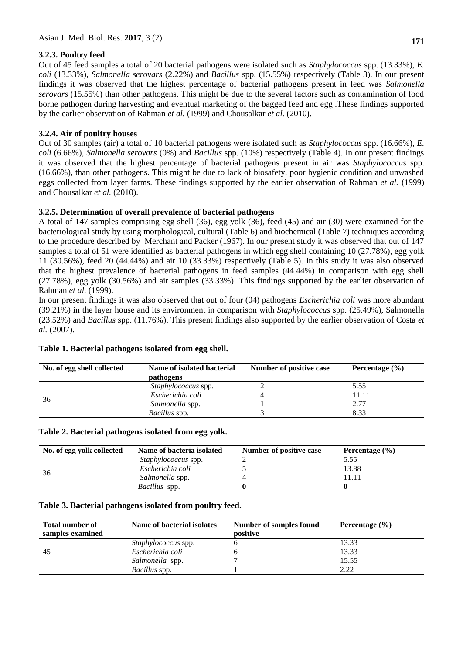### **3.2.3. Poultry feed**

Out of 45 feed samples a total of 20 bacterial pathogens were isolated such as *Staphylococcus* spp. (13.33%), *E. coli* (13.33%), *Salmonella serovars* (2.22%) and *Bacillus* spp. (15.55%) respectively (Table 3). In our present findings it was observed that the highest percentage of bacterial pathogens present in feed was *Salmonella serovars* (15.55%) than other pathogens. This might be due to the several factors such as contamination of food borne pathogen during harvesting and eventual marketing of the bagged feed and egg .These findings supported by the earlier observation of Rahman *et al.* (1999) and Chousalkar *et al.* (2010).

### **3.2.4. Air of poultry houses**

Out of 30 samples (air) a total of 10 bacterial pathogens were isolated such as *Staphylococcus* spp. (16.66%), *E. coli* (6.66%), *Salmonella serovars* (0%) and *Bacillus* spp. (10%) respectively (Table 4). In our present findings it was observed that the highest percentage of bacterial pathogens present in air was *Staphylococcus* spp. (16.66%), than other pathogens. This might be due to lack of biosafety, poor hygienic condition and unwashed eggs collected from layer farms. These findings supported by the earlier observation of Rahman *et al.* (1999) and Chousalkar *et al.* (2010).

### **3.2.5. Determination of overall prevalence of bacterial pathogens**

A total of 147 samples comprising egg shell (36), egg yolk (36), feed (45) and air (30) were examined for the bacteriological study by using morphological, cultural (Table 6) and biochemical (Table 7) techniques according to the procedure described by Merchant and Packer (1967). In our present study it was observed that out of 147 samples a total of 51 were identified as bacterial pathogens in which egg shell containing 10 (27.78%), egg yolk 11 (30.56%), feed 20 (44.44%) and air 10 (33.33%) respectively (Table 5). In this study it was also observed that the highest prevalence of bacterial pathogens in feed samples (44.44%) in comparison with egg shell (27.78%), egg yolk (30.56%) and air samples (33.33%). This findings supported by the earlier observation of Rahman *et al.* (1999).

In our present findings it was also observed that out of four (04) pathogens *Escherichia coli* was more abundant (39.21%) in the layer house and its environment in comparison with *Staphylococcus* spp. (25.49%), Salmonella (23.52%) and *Bacillus* spp. (11.76%). This present findings also supported by the earlier observation of Costa *et al.* (2007).

| No. of egg shell collected | Name of isolated bacterial<br>pathogens | Number of positive case | Percentage $(\% )$ |
|----------------------------|-----------------------------------------|-------------------------|--------------------|
|                            | Staphylococcus spp.                     |                         | 5.55               |
| 36                         | Escherichia coli                        |                         | 11.11              |
|                            | Salmonella spp.                         |                         | 2.77               |
|                            | <i>Bacillus</i> spp.                    |                         | 8.33               |

### **Table 1. Bacterial pathogens isolated from egg shell.**

### **Table 2. Bacterial pathogens isolated from egg yolk.**

| No. of egg yolk collected | Name of bacteria isolated  | Number of positive case | Percentage $(\% )$ |
|---------------------------|----------------------------|-------------------------|--------------------|
| 36                        | <i>Staphylococcus</i> spp. |                         | 5.55               |
|                           | Escherichia coli           |                         | 13.88              |
|                           | Salmonella spp.            |                         | 11.11              |
|                           | <i>Bacillus</i> spp.       |                         |                    |

### **Table 3. Bacterial pathogens isolated from poultry feed.**

| <b>Total number of</b><br>samples examined | Name of bacterial isolates | Number of samples found<br>positive | Percentage $(\% )$ |
|--------------------------------------------|----------------------------|-------------------------------------|--------------------|
|                                            | <i>Staphylococcus</i> spp. |                                     | 13.33              |
| -45                                        | Escherichia coli           |                                     | 13.33              |
|                                            | Salmonella spp.            |                                     | 15.55              |
|                                            | <i>Bacillus</i> spp.       |                                     | 2.22               |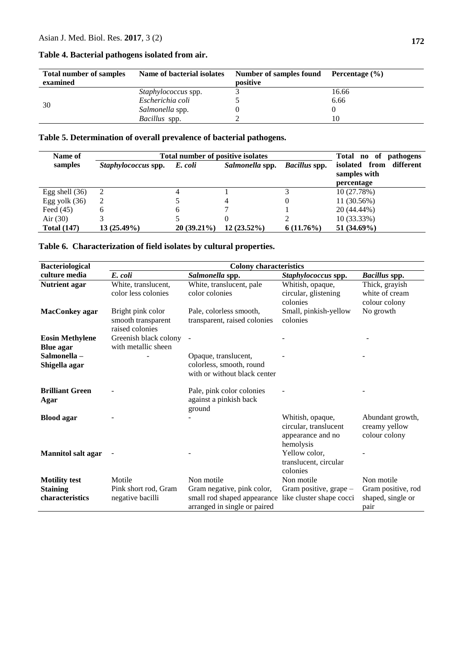| <b>Total number of samples</b> | Name of bacterial isolates | Number of samples found | Percentage (%) |
|--------------------------------|----------------------------|-------------------------|----------------|
| examined                       |                            | positive                |                |
|                                | <i>Staphylococcus</i> spp. |                         | 16.66          |
| 30                             | Escherichia coli           |                         | 6.66           |
|                                | Salmonella spp.            |                         |                |
|                                | Bacillus spp.              |                         | 10             |

#### **Table 4. Bacterial pathogens isolated from air.**

### **Table 5. Determination of overall prevalence of bacterial pathogens.**

| Name of            | <b>Total number of positive isolates</b> | pathogens<br>Total no of |                 |                      |                                                          |
|--------------------|------------------------------------------|--------------------------|-----------------|----------------------|----------------------------------------------------------|
| samples            | <i>Staphylococcus</i> spp.               | E. coli                  | Salmonella spp. | <i>Bacillus</i> spp. | isolated from<br>different<br>samples with<br>percentage |
| Egg shell $(36)$   | 2                                        | 4                        |                 |                      | 10 (27.78%)                                              |
| Egg yolk $(36)$    | 2                                        |                          | 4               |                      | 11 (30.56%)                                              |
| Feed $(45)$        | 6                                        | 6                        |                 |                      | 20 (44.44%)                                              |
| Air $(30)$         |                                          |                          |                 |                      | 10 (33.33%)                                              |
| <b>Total (147)</b> | $13(25.49\%)$                            | $20(39.21\%)$            | $12(23.52\%)$   | $6(11.76\%)$         | 51 (34.69%)                                              |

### **Table 6. Characterization of field isolates by cultural properties.**

| <b>Bacteriological</b>                     | <b>Colony characteristics</b>                              |                                                                                      |                                                                             |                                                    |
|--------------------------------------------|------------------------------------------------------------|--------------------------------------------------------------------------------------|-----------------------------------------------------------------------------|----------------------------------------------------|
| culture media                              | E. coli                                                    | Salmonella spp.                                                                      | Staphylococcus spp.                                                         | <b>Bacillus</b> spp.                               |
| <b>Nutrient agar</b>                       | White, translucent,<br>color less colonies                 | White, translucent, pale<br>color colonies                                           | Whitish, opaque,<br>circular, glistening<br>colonies                        | Thick, grayish<br>white of cream<br>colour colony  |
| <b>MacConkey agar</b>                      | Bright pink color<br>smooth transparent<br>raised colonies | Pale, colorless smooth,<br>transparent, raised colonies                              | Small, pinkish-yellow<br>colonies                                           | No growth                                          |
| <b>Eosin Methylene</b><br><b>Blue</b> agar | Greenish black colony<br>with metallic sheen               | $\blacksquare$                                                                       |                                                                             |                                                    |
| Salmonella-<br>Shigella agar               |                                                            | Opaque, translucent,<br>colorless, smooth, round<br>with or without black center     |                                                                             |                                                    |
| <b>Brilliant Green</b><br>Agar             |                                                            | Pale, pink color colonies<br>against a pinkish back<br>ground                        |                                                                             |                                                    |
| <b>Blood</b> agar                          |                                                            |                                                                                      | Whitish, opaque,<br>circular, translucent<br>appearance and no<br>hemolysis | Abundant growth,<br>creamy yellow<br>colour colony |
| <b>Mannitol salt agar</b>                  |                                                            |                                                                                      | Yellow color.<br>translucent, circular<br>colonies                          |                                                    |
| <b>Motility test</b>                       | Motile                                                     | Non motile                                                                           | Non motile                                                                  | Non motile                                         |
| <b>Staining</b>                            | Pink short rod, Gram                                       | Gram negative, pink color,                                                           | Gram positive, grape -                                                      | Gram positive, rod                                 |
| characteristics                            | negative bacilli                                           | small rod shaped appearance like cluster shape cocci<br>arranged in single or paired |                                                                             | shaped, single or<br>pair                          |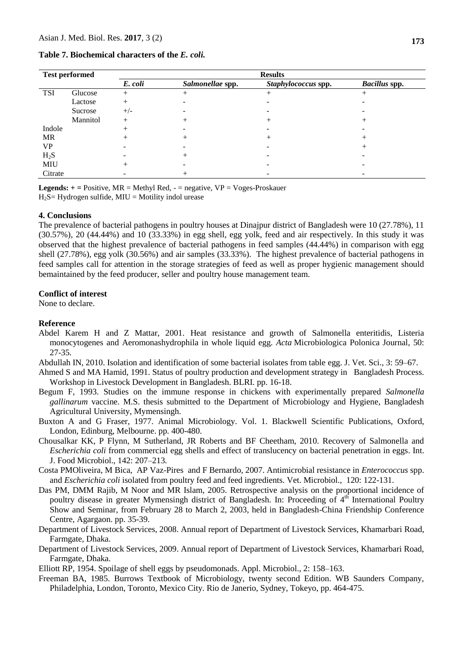**Table 7. Biochemical characters of the** *E. coli.*

| <b>Test performed</b> |          |         |                  |                     |                      |
|-----------------------|----------|---------|------------------|---------------------|----------------------|
|                       |          | E. coli | Salmonellae spp. | Staphylococcus spp. | <b>Bacillus spp.</b> |
| <b>TSI</b>            | Glucose  | $^+$    | +                | $^{+}$              |                      |
|                       | Lactose  | $^{+}$  |                  |                     |                      |
|                       | Sucrose  | $+/-$   |                  |                     |                      |
|                       | Mannitol | $^{+}$  |                  | $^+$                |                      |
| Indole                |          |         |                  |                     |                      |
| <b>MR</b>             |          | +       |                  | $^+$                |                      |
| <b>VP</b>             |          |         |                  |                     |                      |
| $H_2S$                |          |         |                  |                     |                      |
| <b>MIU</b>            |          | $^+$    |                  |                     |                      |
| Citrate               |          |         |                  |                     |                      |

**Legends: + =** Positive, MR = Methyl Red, - = negative, VP = Voges-Proskauer  $H_2S=Hydrogen$  sulfide, MIU = Motility indol urease

#### **4. Conclusions**

The prevalence of bacterial pathogens in poultry houses at Dinajpur district of Bangladesh were 10 (27.78%), 11 (30.57%), 20 (44.44%) and 10 (33.33%) in egg shell, egg yolk, feed and air respectively. In this study it was observed that the highest prevalence of bacterial pathogens in feed samples (44.44%) in comparison with egg shell (27.78%), egg yolk (30.56%) and air samples (33.33%). The highest prevalence of bacterial pathogens in feed samples call for attention in the storage strategies of feed as well as proper hygienic management should bemaintained by the feed producer, seller and poultry house management team.

#### **Conflict of interest**

None to declare.

#### **Reference**

- Abdel Karem H and Z Mattar, 2001. Heat resistance and growth of Salmonella enteritidis, Listeria monocytogenes and Aeromonashydrophila in whole liquid egg. *Acta* Microbiologica Polonica Journal, 50: 27-35*.*
- Abdullah IN, 2010. Isolation and identification of some bacterial isolates from table egg. J. Vet. Sci., 3: 59–67.
- Ahmed S and MA Hamid, 1991. Status of poultry production and development strategy in Bangladesh Process. Workshop in Livestock Development in Bangladesh. BLRI. pp. 16-18.
- Begum F, 1993. Studies on the immune response in chickens with experimentally prepared *Salmonella gallinarum* vaccine. M.S. thesis submitted to the Department of Microbiology and Hygiene, Bangladesh Agricultural University, Mymensingh.
- Buxton A and G Fraser, 1977. Animal Microbiology. Vol. 1. Blackwell Scientific Publications, Oxford, London, Edinburg, Melbourne. pp. 400-480.
- Chousalkar KK, P Flynn, M Sutherland, JR Roberts and BF Cheetham, 2010. Recovery of Salmonella and *Escherichia coli* from commercial egg shells and effect of translucency on bacterial penetration in eggs. Int. J. Food Microbiol., 142: 207–213*.*
- [Costa PMOliveira,](http://www.ncbi.nlm.nih.gov/entrez/query.fcgi?db=pubmed&cmd=Search&itool=pubmed_AbstractPlus&term=%22da+Costa+PM%22%5BAuthor%5D) M [Bica,](http://www.ncbi.nlm.nih.gov/entrez/query.fcgi?db=pubmed&cmd=Search&itool=pubmed_AbstractPlus&term=%22Bica+A%22%5BAuthor%5D) AP [Vaz-Pires](http://www.ncbi.nlm.nih.gov/entrez/query.fcgi?db=pubmed&cmd=Search&itool=pubmed_AbstractPlus&term=%22Vaz%2DPires+P%22%5BAuthor%5D) and F [Bernardo,](http://www.ncbi.nlm.nih.gov/entrez/query.fcgi?db=pubmed&cmd=Search&itool=pubmed_AbstractPlus&term=%22Bernardo+F%22%5BAuthor%5D) 2007. Antimicrobial resistance in *Enterococcus* spp. and *Escherichia coli* isolated from poultry feed and feed ingredients. [Vet. Microbiol.,](javascript:AL_get(this,%20) 120: 122-131.
- Das PM, DMM Rajib, M Noor and MR Islam, 2005. Retrospective analysis on the proportional incidence of poultry disease in greater Mymensingh district of Bangladesh. In: Proceeding of 4<sup>th</sup> International Poultry Show and Seminar, from February 28 to March 2, 2003, held in Bangladesh-China Friendship Conference Centre, Agargaon. pp. 35-39.
- Department of Livestock Services, 2008. Annual report of Department of Livestock Services, Khamarbari Road, Farmgate, Dhaka.
- Department of Livestock Services, 2009. Annual report of Department of Livestock Services, Khamarbari Road, Farmgate, Dhaka.

Elliott RP, 1954. Spoilage of shell eggs by pseudomonads. Appl. Microbiol., 2: 158–163.

Freeman BA, 1985. Burrows Textbook of Microbiology, twenty second Edition. WB Saunders Company, Philadelphia, London, Toronto, Mexico City. Rio de Janerio, Sydney, Tokeyo, pp. 464-475.